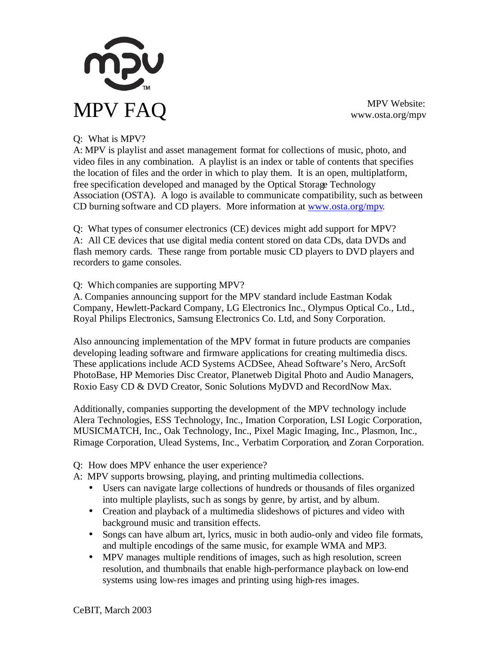

www.osta.org/mpv

## Q: What is MPV?

A: MPV is playlist and asset management format for collections of music, photo, and video files in any combination. A playlist is an index or table of contents that specifies the location of files and the order in which to play them. It is an open, multiplatform, free specification developed and managed by the Optical Storage Technology Association (OSTA). A logo is available to communicate compatibility, such as between CD burning software and CD players. More information at www.osta.org/mpv.

Q: What types of consumer electronics (CE) devices might add support for MPV? A: All CE devices that use digital media content stored on data CDs, data DVDs and flash memory cards. These range from portable music CD players to DVD players and recorders to game consoles.

Q: Which companies are supporting MPV?

A. Companies announcing support for the MPV standard include Eastman Kodak Company, Hewlett-Packard Company, LG Electronics Inc., Olympus Optical Co., Ltd., Royal Philips Electronics, Samsung Electronics Co. Ltd, and Sony Corporation.

Also announcing implementation of the MPV format in future products are companies developing leading software and firmware applications for creating multimedia discs. These applications include ACD Systems ACDSee, Ahead Software's Nero, ArcSoft PhotoBase, HP Memories Disc Creator, Planetweb Digital Photo and Audio Managers, Roxio Easy CD & DVD Creator, Sonic Solutions MyDVD and RecordNow Max.

Additionally, companies supporting the development of the MPV technology include Alera Technologies, ESS Technology, Inc., Imation Corporation, LSI Logic Corporation, MUSICMATCH, Inc., Oak Technology, Inc., Pixel Magic Imaging, Inc., Plasmon, Inc., Rimage Corporation, Ulead Systems, Inc., Verbatim Corporation, and Zoran Corporation.

Q: How does MPV enhance the user experience?

A: MPV supports browsing, playing, and printing multimedia collections.

- Users can navigate large collections of hundreds or thousands of files organized into multiple playlists, such as songs by genre, by artist, and by album.
- Creation and playback of a multimedia slideshows of pictures and video with background music and transition effects.
- Songs can have album art, lyrics, music in both audio-only and video file formats, and multiple encodings of the same music, for example WMA and MP3.
- MPV manages multiple renditions of images, such as high resolution, screen resolution, and thumbnails that enable high-performance playback on low-end systems using low-res images and printing using high-res images.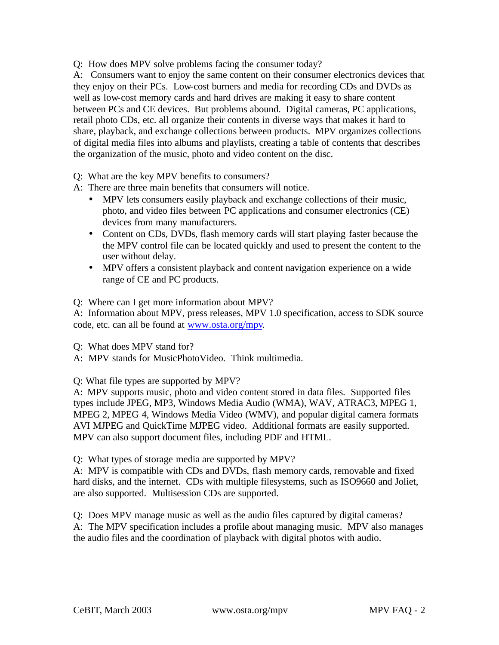Q: How does MPV solve problems facing the consumer today?

A: Consumers want to enjoy the same content on their consumer electronics devices that they enjoy on their PCs. Low-cost burners and media for recording CDs and DVDs as well as low-cost memory cards and hard drives are making it easy to share content between PCs and CE devices. But problems abound. Digital cameras, PC applications, retail photo CDs, etc. all organize their contents in diverse ways that makes it hard to share, playback, and exchange collections between products. MPV organizes collections of digital media files into albums and playlists, creating a table of contents that describes the organization of the music, photo and video content on the disc.

Q: What are the key MPV benefits to consumers?

A: There are three main benefits that consumers will notice.

- MPV lets consumers easily playback and exchange collections of their music, photo, and video files between PC applications and consumer electronics (CE) devices from many manufacturers.
- Content on CDs, DVDs, flash memory cards will start playing faster because the the MPV control file can be located quickly and used to present the content to the user without delay.
- MPV offers a consistent playback and content navigation experience on a wide range of CE and PC products.

Q: Where can I get more information about MPV?

A: Information about MPV, press releases, MPV 1.0 specification, access to SDK source code, etc. can all be found at www.osta.org/mpv.

Q: What does MPV stand for?

A: MPV stands for MusicPhotoVideo. Think multimedia.

Q: What file types are supported by MPV?

A: MPV supports music, photo and video content stored in data files. Supported files types include JPEG, MP3, Windows Media Audio (WMA), WAV, ATRAC3, MPEG 1, MPEG 2, MPEG 4, Windows Media Video (WMV), and popular digital camera formats AVI MJPEG and QuickTime MJPEG video. Additional formats are easily supported. MPV can also support document files, including PDF and HTML.

Q: What types of storage media are supported by MPV?

A: MPV is compatible with CDs and DVDs, flash memory cards, removable and fixed hard disks, and the internet. CDs with multiple filesystems, such as ISO9660 and Joliet, are also supported. Multisession CDs are supported.

Q: Does MPV manage music as well as the audio files captured by digital cameras? A: The MPV specification includes a profile about managing music. MPV also manages the audio files and the coordination of playback with digital photos with audio.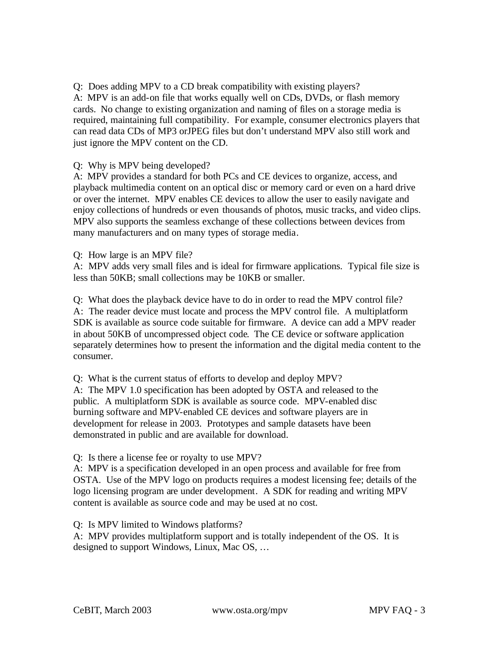Q: Does adding MPV to a CD break compatibility with existing players? A: MPV is an add-on file that works equally well on CDs, DVDs, or flash memory cards. No change to existing organization and naming of files on a storage media is required, maintaining full compatibility. For example, consumer electronics players that can read data CDs of MP3 orJPEG files but don't understand MPV also still work and just ignore the MPV content on the CD.

Q: Why is MPV being developed?

A: MPV provides a standard for both PCs and CE devices to organize, access, and playback multimedia content on an optical disc or memory card or even on a hard drive or over the internet. MPV enables CE devices to allow the user to easily navigate and enjoy collections of hundreds or even thousands of photos, music tracks, and video clips. MPV also supports the seamless exchange of these collections between devices from many manufacturers and on many types of storage media.

Q: How large is an MPV file?

A: MPV adds very small files and is ideal for firmware applications. Typical file size is less than 50KB; small collections may be 10KB or smaller.

Q: What does the playback device have to do in order to read the MPV control file? A: The reader device must locate and process the MPV control file. A multiplatform SDK is available as source code suitable for firmware. A device can add a MPV reader in about 50KB of uncompressed object code. The CE device or software application separately determines how to present the information and the digital media content to the consumer.

Q: What is the current status of efforts to develop and deploy MPV?

A: The MPV 1.0 specification has been adopted by OSTA and released to the public. A multiplatform SDK is available as source code. MPV-enabled disc burning software and MPV-enabled CE devices and software players are in development for release in 2003. Prototypes and sample datasets have been demonstrated in public and are available for download.

Q: Is there a license fee or royalty to use MPV?

A: MPV is a specification developed in an open process and available for free from OSTA. Use of the MPV logo on products requires a modest licensing fee; details of the logo licensing program are under development. A SDK for reading and writing MPV content is available as source code and may be used at no cost.

Q: Is MPV limited to Windows platforms?

A: MPV provides multiplatform support and is totally independent of the OS. It is designed to support Windows, Linux, Mac OS, …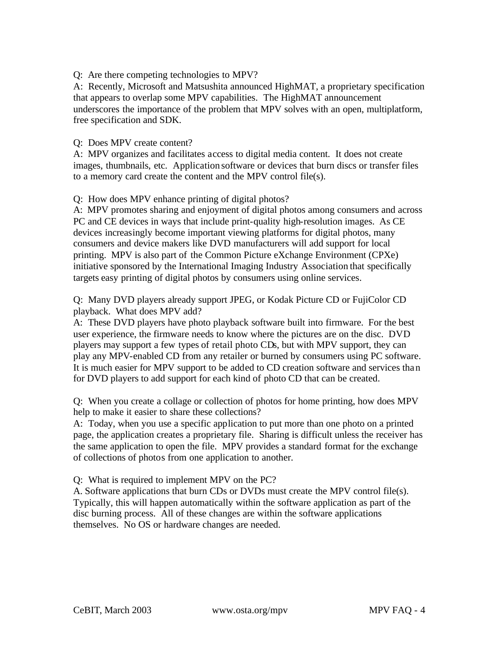Q: Are there competing technologies to MPV?

A: Recently, Microsoft and Matsushita announced HighMAT, a proprietary specification that appears to overlap some MPV capabilities. The HighMAT announcement underscores the importance of the problem that MPV solves with an open, multiplatform, free specification and SDK.

## Q: Does MPV create content?

A: MPV organizes and facilitates access to digital media content. It does not create images, thumbnails, etc. Application software or devices that burn discs or transfer files to a memory card create the content and the MPV control file(s).

## Q: How does MPV enhance printing of digital photos?

A: MPV promotes sharing and enjoyment of digital photos among consumers and across PC and CE devices in ways that include print-quality high-resolution images. As CE devices increasingly become important viewing platforms for digital photos, many consumers and device makers like DVD manufacturers will add support for local printing. MPV is also part of the Common Picture eXchange Environment (CPXe) initiative sponsored by the International Imaging Industry Association that specifically targets easy printing of digital photos by consumers using online services.

Q: Many DVD players already support JPEG, or Kodak Picture CD or FujiColor CD playback. What does MPV add?

A: These DVD players have photo playback software built into firmware. For the best user experience, the firmware needs to know where the pictures are on the disc. DVD players may support a few types of retail photo CDs, but with MPV support, they can play any MPV-enabled CD from any retailer or burned by consumers using PC software. It is much easier for MPV support to be added to CD creation software and services than for DVD players to add support for each kind of photo CD that can be created.

Q: When you create a collage or collection of photos for home printing, how does MPV help to make it easier to share these collections?

A: Today, when you use a specific application to put more than one photo on a printed page, the application creates a proprietary file. Sharing is difficult unless the receiver has the same application to open the file. MPV provides a standard format for the exchange of collections of photos from one application to another.

Q: What is required to implement MPV on the PC?

A. Software applications that burn CDs or DVDs must create the MPV control file(s). Typically, this will happen automatically within the software application as part of the disc burning process. All of these changes are within the software applications themselves. No OS or hardware changes are needed.